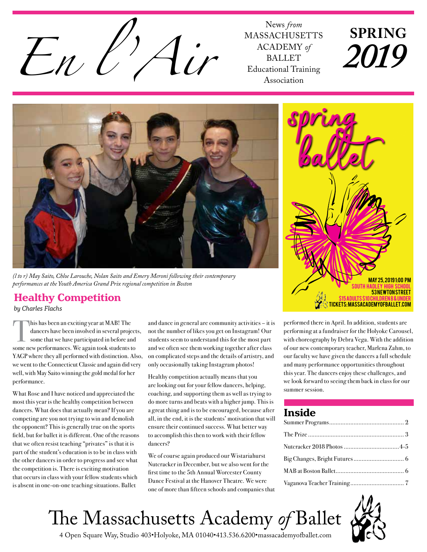

MASSACHUSETTS ACADEMY *of* BALLET Educational Training Association

# **SPRING** *2019*



*(l to r) May Saito, Chloe Larouche, Nolan Saito and Emery Meroni following their contemporary performances at the Youth America Grand Prix regional competition in Boston*

### **Healthy Competition**

*by Charles Flachs*

his has been an exciting year at MAB! The<br>dancers have been involved in several project<br>some that we have participated in before and dancers have been involved in several projects, some new performances. We again took students to YAGP where they all performed with distinction. Also, we went to the Connecticut Classic and again did very well, with May Saito winning the gold medal for her performance.

What Rose and I have noticed and appreciated the most this year is the healthy competition between dancers. What does that actually mean? If you are competing are you not trying to win and demolish the opponent? This is generally true on the sports field, but for ballet it is different. One of the reasons that we often resist teaching "privates" is that it is part of the student's education is to be in class with the other dancers in order to progress and see what the competition is. There is exciting motivation that occurs in class with your fellow students which is absent in one-on-one teaching situations. Ballet

and dance in general are community activities – it is not the number of likes you get on Instagram! Our students seem to understand this for the most part and we often see them working together after class on complicated steps and the details of artistry, and only occasionally taking Instagram photos!

Healthy competition actually means that you are looking out for your fellow dancers, helping, coaching, and supporting them as well as trying to do more turns and beats with a higher jump. This is a great thing and is to be encouraged, because after all, in the end, it is the students' motivation that will ensure their continued success. What better way to accomplish this then to work with their fellow dancers?

We of course again produced our Wistariahurst Nutcracker in December, but we also went for the first time to the 5th Annual Worcester County Dance Festival at the Hanover Theatre. We were one of more than fifteen schools and companies that



performed there in April. In addition, students are performing at a fundraiser for the Holyoke Carousel, with choreography by Debra Vega. With the addition of our new contemporary teacher, Marlena Zahm, to our faculty we have given the dancers a full schedule and many performance opportunities throughout this year. The dancers enjoy these challenges, and we look forward to seeing them back in class for our summer session.

### **Inside**





4 Open Square Way, Studio 403•Holyoke, MA 01040•413.536.6200•massacademyofballet.com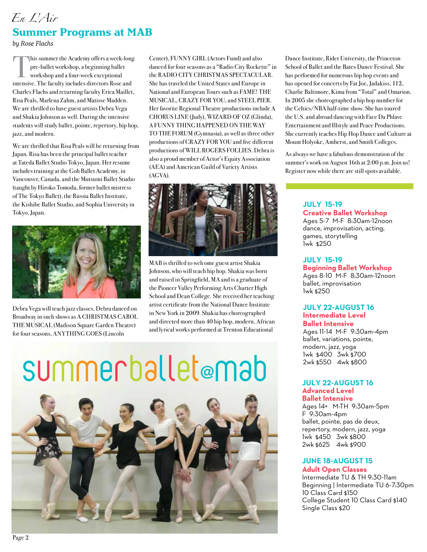### *En L'Air* **Summer Programs at MAB**

*by Rose Flachs*

This summer the Academy offers a week-long<br>pre-ballet workshop, a beginning ballet<br>workshop and a four-week exceptional pre-ballet workshop, a beginning ballet workshop and a four-week exceptional intensive. The faculty includes directors Rose and Charles Flachs and returning faculty Erica Maillet, Risa Peals, Marlena Zahm, and Matisse Madden. We are thrilled to have guest artists Debra Vega and Shakia Johnson as well. During the intensive students will study ballet, pointe, repertory, hip hop, jazz, and modern.

We are thrilled that Risa Peals will be returning from Japan. Risa has been the principal ballet teacher at Tateda Ballet Studio Tokyo, Japan. Her resume includes training at the Goh Ballet Academy, in Vancouver, Canada, and the Mutsumi Ballet Studio (taught by Hiroko Tomoda, former ballet mistress of The Tokyo Ballet), the Russia Ballet Institute, the Kishibe Ballet Studio, and Sophia University in Tokyo, Japan.



Debra Vega will teach jazz classes. Debra danced on Broadway in such shows as A CHRISTMAS CAROL THE MUSICAL (Madison Square Garden Theatre) for four seasons, ANYTHING GOES (Lincoln

Center), FUNNY GIRL (Actors Fund) and also danced for four seasons as a "Radio City Rockette" in the RADIO CITY CHRISTMAS SPECTACULAR. She has traveled the United States and Europe in National and European Tours such as FAME! THE MUSICAL, CRAZY FOR YOU, and STEEL PIER. Her favorite Regional Theatre productions include A CHORUS LINE (Judy), WIZARD OF OZ (Glinda), A FUNNY THING HAPPENED ON THE WAY TO THE FORUM (Gymnasia), as well as three other productions of CRAZY FOR YOU and five different productions of WILL ROGERS FOLLIES. Debra is also a proud member of Actor's Equity Association (AEA) and American Guild of Variety Artists (AGVA).



MAB is thrilled to welcome guest artist Shakia Johnson, who will teach hip hop. Shakia was born and raised in Springfield, MA and is a graduate of the Pioneer Valley Performing Arts Charter High School and Dean College. She received her teaching artist certificate from the National Dance Institute in New York in 2009. Shakia has choreographed and directed more than 40 hip hop, modern, African and lyrical works performed at Trenton Educational



Dance Institute, Rider University, the Princeton School of Ballet and the Bates Dance Festival. She has performed for numerous hip hop events and has opened for concerts by Fat Joe, Jadakiss, 112, Charlie Baltimore, Kima from "Total" and Omarion. In 2005 she choreographed a hip hop number for the Celtics/NBA half-time show. She has toured the U.S. and abroad dancing with Face Da Phlave Entertainment and Illstyle and Peace Productions. She currently teaches Hip Hop Dance and Culture at Mount Holyoke, Amherst, and Smith Colleges.

As always we have a fabulous demonstration of the summer's work on August 16th at 2:00 p.m. Join us! Register now while there are still spots available.

#### **JULY 15-19 Creative Ballet Workshop**

Ages 5-7 M-F 8:30am-12noon dance, improvisation, acting, games, storytelling 1wk \$250

#### **JULY 15-19 Beginning Ballet Workshop**

Ages 8-10 M-F 8:30am-12noon ballet, improvisation 1wk \$250

#### **JULY 22-AUGUST 16 Intermediate Level Ballet Intensive**

Ages 11-14 M-F 9:30am-4pm ballet, variations, pointe, modern, jazz, yoga 1wk \$400 3wk \$700 2wk \$550 4wk \$800

#### **JULY 22-AUGUST 16 Advanced Level Ballet Intensive**

**Banet Intensive**<br>Ages 14+ M-TH 9:30am-5pm<br>E 9:30am-4pm r 9:50am-4pm<br>ballet, pointe, pas de deux,<br>renettery medern iezz vege F 9:30am-4pm repertory, modern, jazz, yoga 1wk \$450 3wk \$800 2wk \$625 4wk \$900

#### **JUNE 18-AUGUST 15 Adult Open Classes**

Intermediate TU & TH 9:30-11am Beginning | Intermediate TU 6-7:30pm 10 Class Card \$150 College Student 10 Class Card \$140 Single Class \$20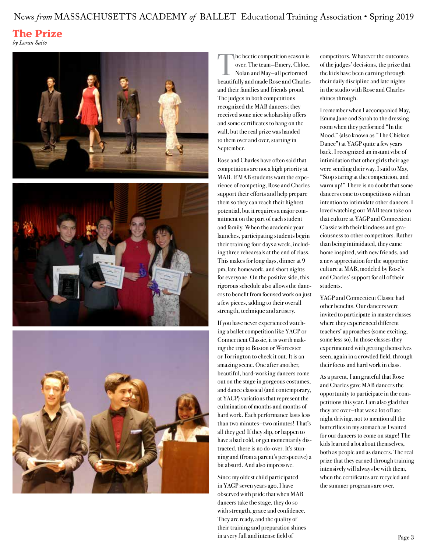# News *from* MASSACHUSETTS ACADEMY *of* BALLET Educational Training Association • Spring 2019

### **The Prize**

*by Loran Saito*







The hectic competition season is<br>over. The team-Emery, Chloe,<br>Nolan and May-all performed over. The team—Emery, Chloe, Nolan and May—all performed beautifully and made Rose and Charles and their families and friends proud. The judges in both competitions recognized the MAB dancers: they received some nice scholarship offers and some certificates to hang on the wall, but the real prize was handed to them over and over, starting in September.

Rose and Charles have often said that competitions are not a high priority at MAB. If MAB students want the expe rience of competing, Rose and Charles support their efforts and help prepare them so they can reach their highest potential, but it requires a major com mitment on the part of each student and family. When the academic year launches, participating students begin their training four days a week, includ ing three rehearsals at the end of class. This makes for long days, dinner at 9 pm, late homework, and short nights for everyone. On the positive side, this rigorous schedule also allows the danc ers to benefit from focused work on just a few pieces, adding to their overall strength, technique and artistry.

If you have never experienced watch ing a ballet competition like YAGP or Connecticut Classic, it is worth making the trip to Boston or Worcester or Torrington to check it out. It is an amazing scene. One after another, beautiful, hard-working dancers come out on the stage in gorgeous costumes, and dance classical (and contemporary, at YAGP) variations that represent the culmination of months and months of hard work. Each performance lasts less than two minutes—two minutes! That's all they get! If they slip, or happen to have a bad cold, or get momentarily dis tracted, there is no do-over. It's stun ning and (from a parent's perspective) a bit absurd. And also impressive.

Since my oldest child participated in YAGP seven years ago, I have observed with pride that when MAB dancers take the stage, they do so with strength, grace and confidence. They are ready, and the quality of their training and preparation shines in a very full and intense field of

competitors. Whatever the outcomes of the judges' decisions, the prize that the kids have been earning through their daily discipline and late nights in the studio with Rose and Charles shines through.

I remember when I accompanied May, Emma Jane and Sarah to the dressing room when they performed "In the Mood," (also known as "The Chicken Dance") at YAGP quite a few years back. I recognized an instant vibe of intimidation that other girls their age were sending their way. I said to May, "Stop staring at the competition, and warm up!" There is no doubt that some dancers come to competitions with an intention to intimidate other dancers. I loved watching our MAB team take on that culture at YAGP and Connecticut Classic with their kindness and gra ciousness to other competitors. Rather than being intimidated, they came home inspired, with new friends, and a new appreciation for the supportive culture at MAB, modeled by Rose's and Charles' support for all of their students.

YAGP and Connecticut Classic had other benefits. Our dancers were invited to participate in master classes where they experienced different teachers' approaches (some exciting, some less so). In those classes they experimented with getting themselves seen, again in a crowded field, through their focus and hard work in class.

As a parent, I am grateful that Rose and Charles gave MAB dancers the opportunity to participate in the com petitions this year. I am also glad that they are over—that was a lot of late night driving, not to mention all the butterflies in my stomach as I waited for our dancers to come on stage! The kids learned a lot about themselves, both as people and as dancers. The real prize that they earned through training intensively will always be with them, when the certificates are recycled and the summer programs are over.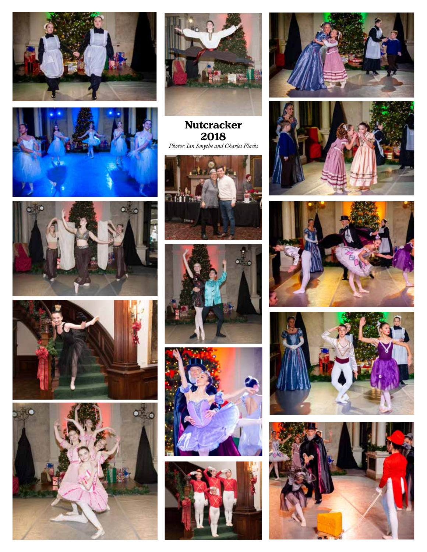





























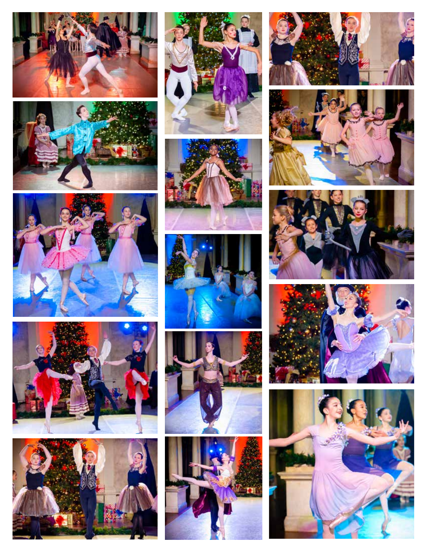



























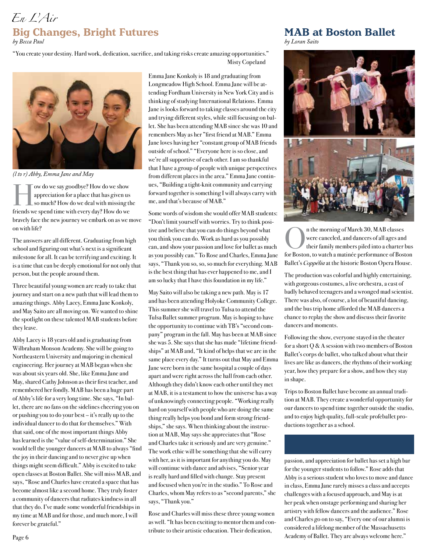# *En L'Air* **Big Changes, Bright Futures**

*by Becca Paul*

"You create your destiny. Hard work, dedication, sacrifice, and taking risks create amazing opportunities." Misty Copeland



*(l to r) Abby, Emma Jane and May*

We do we say goodbye? How do we show<br>appreciation for a place that has given us<br>so much? How do we deal with missing the appreciation for a place that has given us friends we spend time with every day? How do we bravely face the new journey we embark on as we move on with life?

The answers are all different. Graduating from high school and figuring out what's next is a significant milestone for all. It can be terrifying and exciting. It is a time that can be deeply emotional for not only that person, but the people around them.

Three beautiful young women are ready to take that journey and start on a new path that will lead them to amazing things. Abby Lacey, Emma Jane Konkoly, and May Saito are all moving on. We wanted to shine the spotlight on these talented MAB students before they leave.

Abby Lacey is 18 years old and is graduating from Wilbraham Monson Academy. She will be going to Northeastern University and majoring in chemical engineering. Her journey at MAB began when she was about six years old. She, like Emma Jane and May, shared Cathy Johnson as their first teacher, and remembered her fondly. MAB has been a huge part of Abby's life for a very long time. She says, "In ballet, there are no fans on the sidelines cheering you on or pushing you to do your best – it's really up to the individual dancer to do that for themselves." With that said, one of the most important things Abby has learned is the "value of self-determination." She would tell the younger dancers at MAB to always "find the joy in their dancing and to never give up when things might seem difficult." Abby is excited to take open classes at Boston Ballet. She will miss MAB, and says, "Rose and Charles have created a space that has become almost like a second home. They truly foster a community of dancers that radiates kindness in all that they do. I've made some wonderful friendships in my time at MAB and for those, and much more, I will forever be grateful."

Emma Jane Konkoly is 18 and graduating from Longmeadow High School. Emma Jane will be attending Fordham University in New York City and is thinking of studying International Relations. Emma Jane is looks forward to taking classes around the city and trying different styles, while still focusing on ballet. She has been attending MAB since she was 10 and remembers May as her "first friend at MAB." Emma Jane loves having her "constant group of MAB friends outside of school." "Everyone here is so close, and we're all supportive of each other. I am so thankful that I have a group of people with unique perspectives from different places in the area." Emma Jane continues, "Building a tight-knit community and carrying forward together is something I will always carry with me, and that's because of MAB."

Some words of wisdom she would offer MAB students: "Don't limit yourself with worries. Try to think positive and believe that you can do things beyond what you think you can do. Work as hard as you possibly can, and show your passion and love for ballet as much as you possibly can." To Rose and Charles, Emma Jane says, "Thank you so, so, so much for everything. MAB is the best thing that has ever happened to me, and I am so lucky that I have this foundation in my life."

May Saito will also be taking a new path. May is 17 and has been attending Holyoke Community College. This summer she will travel to Tulsa to attend the Tulsa Ballet summer program. May is hoping to have the opportunity to continue with TB's "second company" program in the fall. May has been at MAB since she was 5. She says that she has made "lifetime friendships" at MAB and, "It kind of helps that we are in the same place every day." It turns out that May and Emma Jane were born in the same hospital a couple of days apart and were right across the hall from each other. Although they didn't know each other until they met at MAB, it is a testament to how the universe has a way of unknowingly connecting people. "Working really hard on yourself with people who are doing the same thing really helps you bond and form strong friendships," she says. When thinking about the instruction at MAB, May says she appreciates that "Rose and Charles take it seriously and are very genuine." The work ethic will be something that she will carry with her, as it is important for anything you do. May will continue with dance and advises, "Senior year is really hard and filled with change. Stay present and focused when you're in the studio." To Rose and Charles, whom May refers to as "second parents," she says, "Thank you."

Rose and Charles will miss these three young women as well. "It has been exciting to mentor them and contribute to their artistic education. Their dedication,

### **MAB at Boston Ballet**

*by Loran Saito*



The morning of March 30, MAB classes<br>
were canceled, and dancers of all ages and<br>
their family members piled into a charter<br>
for Barten texts is particle as for the property of Barten were canceled, and dancers of all ages and their family members piled into a charter bus for Boston, to watch a matinée performance of Boston Ballet's *Coppélia* at the historic Boston Opera House.

The production was colorful and highly entertaining, with gorgeous costumes, a live orchestra, a cast of badly behaved teenagers and a wronged mad scientist. There was also, of course, a lot of beautiful dancing, and the bus trip home afforded the MAB dancers a chance to replay the show and discuss their favorite dancers and moments.

Following the show, everyone stayed in the theater for a short Q & A session with two members of Boston Ballet's corps de ballet, who talked about what their lives are like as dancers, the rhythms of their working year, how they prepare for a show, and how they stay in shape.

Trips to Boston Ballet have become an annual tradition at MAB. They create a wonderful opportunity for our dancers to spend time together outside the studio, and to enjoy high quality, full-scale profeballet productions together as a school.

passion, and appreciation for ballet has set a high bar for the younger students to follow." Rose adds that Abby is a serious student who loves to move and dance in class, Emma Jane rarely misses a class and accepts challenges with a focused approach, and May is at her peak when onstage performing and sharing her artistry with fellow dancers and the audience." Rose and Charles go on to say, "Every one of our alumni is considered a lifelong member of the Massachusetts Academy of Ballet. They are always welcome here."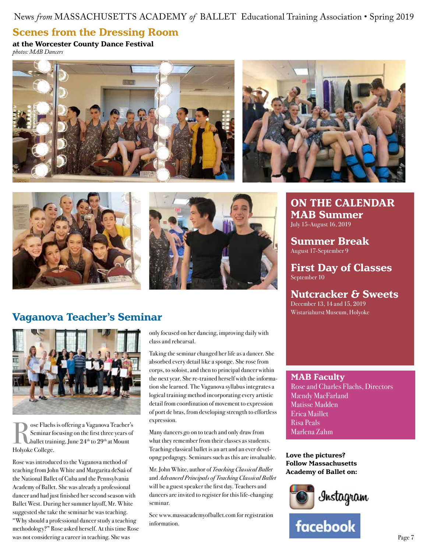#### News *from* MASSACHUSETTS ACADEMY *of* BALLET Educational Training Association • Spring 2019

### **Scenes from the Dressing Room**

**at the Worcester County Dance Festival**

*photos: MAB Dancers*





**ON THE CALENDAR MAB Summer** July 15-August 16, 2019

**Summer Break** August 17-September 9

**First Day of Classes** September 10

**Nutcracker & Sweets** December 13, 14 and 15, 2019 Wistariahurst Museum, Holyoke

# **Vaganova Teacher's Seminar**



ose Flachs is offering a Vaganova Teacher's Seminar focusing on the first three years of ballet training, June  $24<sup>th</sup>$  to  $29<sup>th</sup>$  at Mount Holyoke College.

Rose was introduced to the Vaganova method of teaching from John White and Margarita deSaá of the National Ballet of Cuba and the Pennsylvania Academy of Ballet. She was already a professional dancer and had just finished her second season with Ballet West. During her summer layoff, Mr. White suggested she take the seminar he was teaching. "Why should a professional dancer study a teaching methodology?" Rose asked herself. At this time Rose was not considering a career in teaching. She was

only focused on her dancing, improving daily with class and rehearsal.

Taking the seminar changed her life as a dancer. She absorbed every detail like a sponge. She rose from corps, to soloist, and then to principal dancer within the next year. She re-trained herself with the information she learned. The Vaganova syllabus integrates a logical training method incorporating every artistic detail from coordination of movement to expression of port de bras, from developing strength to effortless expression.

Many dancers go on to teach and only draw from what they remember from their classes as students. Teaching classical ballet is an art and an ever developng pedagogy. Seminars such as this are invaluable.

Mr. John White, author of *Teaching Classical Ballet* and *Advanced Principals of Teaching Classical Ballet* will be a guest speaker the first day. Teachers and dancers are invited to register for this life-changing seminar.

See www.massacademyofballet.com for registration information.

#### **MAB Faculty** Rose and Charles Flachs, Directors Mændy MacFarland Matisse Madden Erica Maillet Risa Peals Marlena Zahm

**Love the pictures? Follow Massachusetts Academy of Ballet on:**